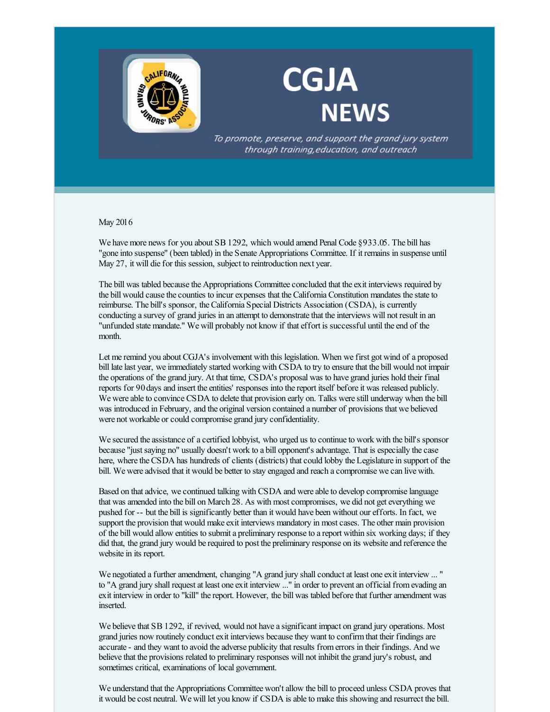

## **CGJA NEWS**

To promote, preserve, and support the grand jury system through training, education, and outreach

May 2016

We have more news for you about SB 1292, which would amend Penal Code §933.05. The bill has "gone into suspense" (been tabled) in the Senate Appropriations Committee. If it remains in suspense until May 27, it will die for this session, subject to reintroduction next year.

The bill was tabled because the Appropriations Committee concluded that the exit interviews required by the bill would cause the counties to incur expenses that the California Constitution mandates the state to reimburse. The bill's sponsor, the California Special Districts Association (CSDA), is currently conducting a survey of grand juries in an attempt to demonstrate that the interviews will not result in an "unfunded state mandate." We will probably not know if that effort is successful until the end of the month.

Let me remind you about CGJA's involvement with this legislation. When we first got wind of a proposed bill late last year, we immediately started working with CSDA to try to ensure that the bill would not impair the operations of the grand jury. At that time, CSDA's proposal was to have grand juries hold their final reports for 90days and insert the entities' responses into the report itself before it was released publicly. We were able to convince CSDA to delete that provision early on. Talks were still underway when the bill was introduced in February, and the original version contained a number of provisions that we believed were not workable or could compromise grand jury confidentiality.

We secured the assistance of a certified lobbyist, who urged us to continue to work with the bill's sponsor because "just saying no" usually doesn't work to a bill opponent's advantage. That is especially the case here, where the CSDA has hundreds of clients (districts) that could lobby the Legislature in support of the bill. We were advised that it would be better to stay engaged and reach a compromise we can live with.

Based on that advice, we continued talking with CSDA and were able to develop compromise language that was amended into the bill on March 28. As with most compromises, we did not get everything we pushed for -- but the bill is significantly better than it would have been without our efforts. In fact, we support the provision that would make exit interviews mandatory in most cases. The other main provision of the bill would allow entities to submit a preliminary response to a report within six working days; if they did that, the grand jury would be required to post the preliminary response on its website and reference the website in its report.

We negotiated a further amendment, changing "A grand jury shall conduct at least one exit interview ... " to "A grand jury shall request at least one exit interview ..." in order to prevent an official fromevading an exit interview in order to "kill" the report. However, the bill was tabled before that further amendment was inserted.

We believe that SB 1292, if revived, would not have a significant impact on grand jury operations. Most grand juries now routinely conduct exit interviews because they want to confirmthat their findings are accurate - and they want to avoid the adverse publicity that results fromerrors in their findings. And we believe that the provisions related to preliminary responses will not inhibit the grand jury's robust, and sometimes critical, examinations of local government.

We understand that the Appropriations Committee won't allow the bill to proceed unless CSDA proves that it would be cost neutral. We will let you know if CSDA is able to make this showing and resurrect the bill.